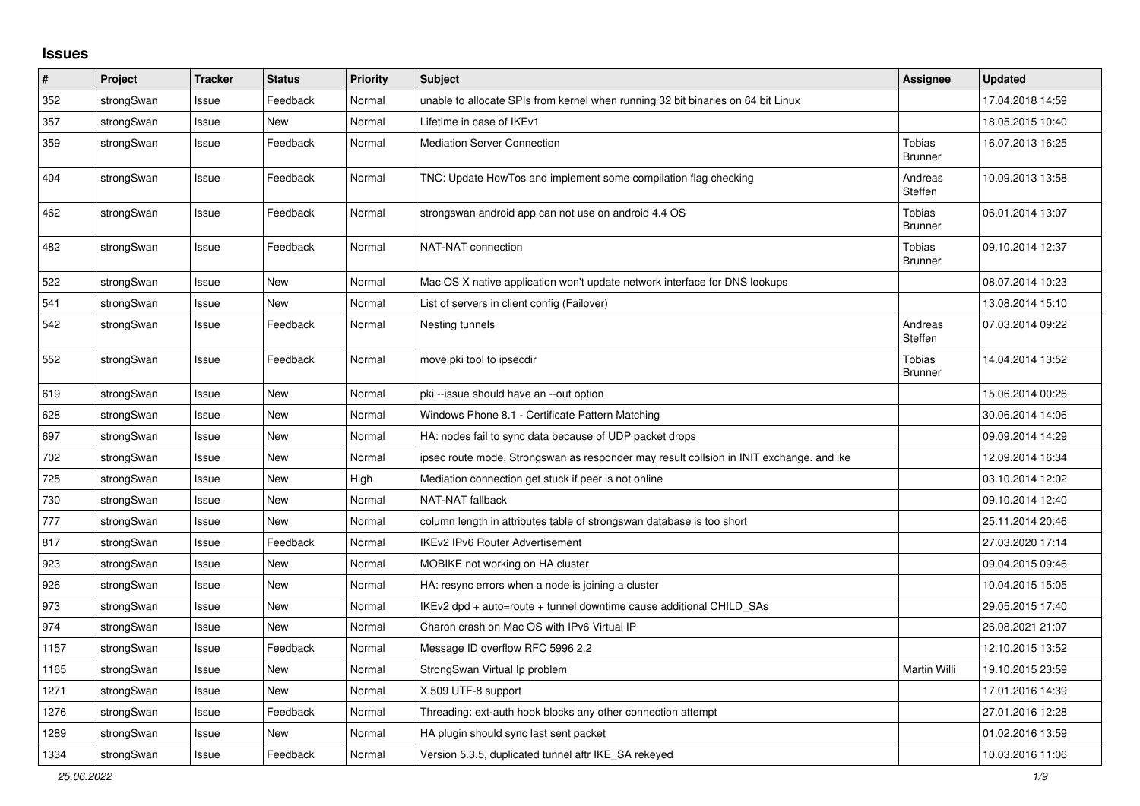## **Issues**

| $\sharp$ | Project    | <b>Tracker</b> | <b>Status</b> | <b>Priority</b> | <b>Subject</b>                                                                          | Assignee                        | <b>Updated</b>   |
|----------|------------|----------------|---------------|-----------------|-----------------------------------------------------------------------------------------|---------------------------------|------------------|
| 352      | strongSwan | Issue          | Feedback      | Normal          | unable to allocate SPIs from kernel when running 32 bit binaries on 64 bit Linux        |                                 | 17.04.2018 14:59 |
| 357      | strongSwan | Issue          | New           | Normal          | Lifetime in case of IKEv1                                                               |                                 | 18.05.2015 10:40 |
| 359      | strongSwan | Issue          | Feedback      | Normal          | <b>Mediation Server Connection</b>                                                      | Tobias<br>Brunner               | 16.07.2013 16:25 |
| 404      | strongSwan | Issue          | Feedback      | Normal          | TNC: Update HowTos and implement some compilation flag checking                         | Andreas<br>Steffen              | 10.09.2013 13:58 |
| 462      | strongSwan | Issue          | Feedback      | Normal          | strongswan android app can not use on android 4.4 OS                                    | <b>Tobias</b><br><b>Brunner</b> | 06.01.2014 13:07 |
| 482      | strongSwan | Issue          | Feedback      | Normal          | NAT-NAT connection                                                                      | Tobias<br><b>Brunner</b>        | 09.10.2014 12:37 |
| 522      | strongSwan | Issue          | <b>New</b>    | Normal          | Mac OS X native application won't update network interface for DNS lookups              |                                 | 08.07.2014 10:23 |
| 541      | strongSwan | Issue          | New           | Normal          | List of servers in client config (Failover)                                             |                                 | 13.08.2014 15:10 |
| 542      | strongSwan | Issue          | Feedback      | Normal          | Nesting tunnels                                                                         | Andreas<br>Steffen              | 07.03.2014 09:22 |
| 552      | strongSwan | Issue          | Feedback      | Normal          | move pki tool to ipsecdir                                                               | Tobias<br><b>Brunner</b>        | 14.04.2014 13:52 |
| 619      | strongSwan | Issue          | <b>New</b>    | Normal          | pki --issue should have an --out option                                                 |                                 | 15.06.2014 00:26 |
| 628      | strongSwan | Issue          | New           | Normal          | Windows Phone 8.1 - Certificate Pattern Matching                                        |                                 | 30.06.2014 14:06 |
| 697      | strongSwan | Issue          | New           | Normal          | HA: nodes fail to sync data because of UDP packet drops                                 |                                 | 09.09.2014 14:29 |
| 702      | strongSwan | Issue          | New           | Normal          | ipsec route mode, Strongswan as responder may result collsion in INIT exchange. and ike |                                 | 12.09.2014 16:34 |
| 725      | strongSwan | Issue          | New           | High            | Mediation connection get stuck if peer is not online                                    |                                 | 03.10.2014 12:02 |
| 730      | strongSwan | Issue          | New           | Normal          | <b>NAT-NAT fallback</b>                                                                 |                                 | 09.10.2014 12:40 |
| 777      | strongSwan | Issue          | <b>New</b>    | Normal          | column length in attributes table of strongswan database is too short                   |                                 | 25.11.2014 20:46 |
| 817      | strongSwan | Issue          | Feedback      | Normal          | IKEv2 IPv6 Router Advertisement                                                         |                                 | 27.03.2020 17:14 |
| 923      | strongSwan | Issue          | New           | Normal          | MOBIKE not working on HA cluster                                                        |                                 | 09.04.2015 09:46 |
| 926      | strongSwan | Issue          | <b>New</b>    | Normal          | HA: resync errors when a node is joining a cluster                                      |                                 | 10.04.2015 15:05 |
| 973      | strongSwan | Issue          | <b>New</b>    | Normal          | IKEv2 dpd + auto=route + tunnel downtime cause additional CHILD_SAs                     |                                 | 29.05.2015 17:40 |
| 974      | strongSwan | Issue          | New           | Normal          | Charon crash on Mac OS with IPv6 Virtual IP                                             |                                 | 26.08.2021 21:07 |
| 1157     | strongSwan | Issue          | Feedback      | Normal          | Message ID overflow RFC 5996 2.2                                                        |                                 | 12.10.2015 13:52 |
| 1165     | strongSwan | Issue          | <b>New</b>    | Normal          | StrongSwan Virtual Ip problem                                                           | Martin Willi                    | 19.10.2015 23:59 |
| 1271     | strongSwan | Issue          | <b>New</b>    | Normal          | X.509 UTF-8 support                                                                     |                                 | 17.01.2016 14:39 |
| 1276     | strongSwan | Issue          | Feedback      | Normal          | Threading: ext-auth hook blocks any other connection attempt                            |                                 | 27.01.2016 12:28 |
| 1289     | strongSwan | Issue          | New           | Normal          | HA plugin should sync last sent packet                                                  |                                 | 01.02.2016 13:59 |
| 1334     | strongSwan | Issue          | Feedback      | Normal          | Version 5.3.5, duplicated tunnel aftr IKE SA rekeyed                                    |                                 | 10.03.2016 11:06 |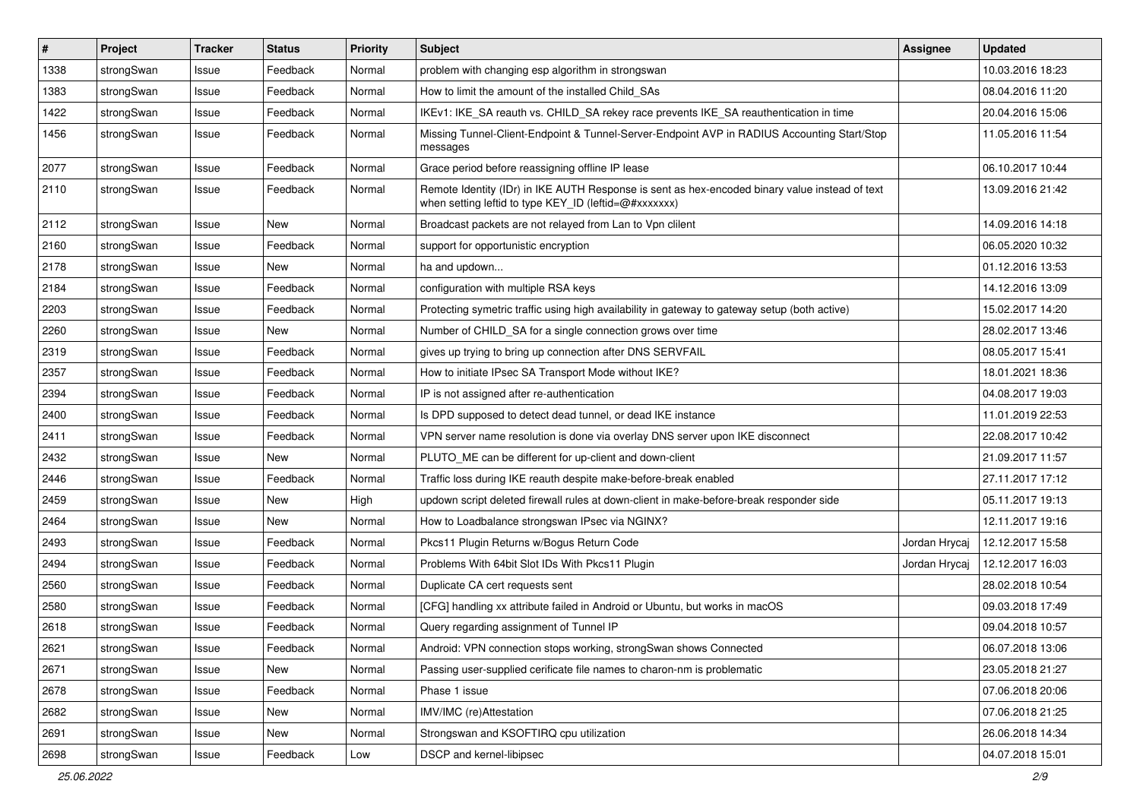| $\vert$ # | Project    | <b>Tracker</b> | <b>Status</b> | <b>Priority</b> | <b>Subject</b>                                                                                                                                          | <b>Assignee</b> | <b>Updated</b>   |
|-----------|------------|----------------|---------------|-----------------|---------------------------------------------------------------------------------------------------------------------------------------------------------|-----------------|------------------|
| 1338      | strongSwan | Issue          | Feedback      | Normal          | problem with changing esp algorithm in strongswan                                                                                                       |                 | 10.03.2016 18:23 |
| 1383      | strongSwan | Issue          | Feedback      | Normal          | How to limit the amount of the installed Child_SAs                                                                                                      |                 | 08.04.2016 11:20 |
| 1422      | strongSwan | Issue          | Feedback      | Normal          | IKEv1: IKE_SA reauth vs. CHILD_SA rekey race prevents IKE_SA reauthentication in time                                                                   |                 | 20.04.2016 15:06 |
| 1456      | strongSwan | Issue          | Feedback      | Normal          | Missing Tunnel-Client-Endpoint & Tunnel-Server-Endpoint AVP in RADIUS Accounting Start/Stop<br>messages                                                 |                 | 11.05.2016 11:54 |
| 2077      | strongSwan | Issue          | Feedback      | Normal          | Grace period before reassigning offline IP lease                                                                                                        |                 | 06.10.2017 10:44 |
| 2110      | strongSwan | Issue          | Feedback      | Normal          | Remote Identity (IDr) in IKE AUTH Response is sent as hex-encoded binary value instead of text<br>when setting leftid to type KEY ID (leftid=@#xxxxxxx) |                 | 13.09.2016 21:42 |
| 2112      | strongSwan | Issue          | <b>New</b>    | Normal          | Broadcast packets are not relayed from Lan to Vpn clilent                                                                                               |                 | 14.09.2016 14:18 |
| 2160      | strongSwan | Issue          | Feedback      | Normal          | support for opportunistic encryption                                                                                                                    |                 | 06.05.2020 10:32 |
| 2178      | strongSwan | Issue          | New           | Normal          | ha and updown                                                                                                                                           |                 | 01.12.2016 13:53 |
| 2184      | strongSwan | Issue          | Feedback      | Normal          | configuration with multiple RSA keys                                                                                                                    |                 | 14.12.2016 13:09 |
| 2203      | strongSwan | Issue          | Feedback      | Normal          | Protecting symetric traffic using high availability in gateway to gateway setup (both active)                                                           |                 | 15.02.2017 14:20 |
| 2260      | strongSwan | Issue          | New           | Normal          | Number of CHILD SA for a single connection grows over time                                                                                              |                 | 28.02.2017 13:46 |
| 2319      | strongSwan | Issue          | Feedback      | Normal          | gives up trying to bring up connection after DNS SERVFAIL                                                                                               |                 | 08.05.2017 15:41 |
| 2357      | strongSwan | Issue          | Feedback      | Normal          | How to initiate IPsec SA Transport Mode without IKE?                                                                                                    |                 | 18.01.2021 18:36 |
| 2394      | strongSwan | Issue          | Feedback      | Normal          | IP is not assigned after re-authentication                                                                                                              |                 | 04.08.2017 19:03 |
| 2400      | strongSwan | Issue          | Feedback      | Normal          | Is DPD supposed to detect dead tunnel, or dead IKE instance                                                                                             |                 | 11.01.2019 22:53 |
| 2411      | strongSwan | Issue          | Feedback      | Normal          | VPN server name resolution is done via overlay DNS server upon IKE disconnect                                                                           |                 | 22.08.2017 10:42 |
| 2432      | strongSwan | Issue          | New           | Normal          | PLUTO_ME can be different for up-client and down-client                                                                                                 |                 | 21.09.2017 11:57 |
| 2446      | strongSwan | Issue          | Feedback      | Normal          | Traffic loss during IKE reauth despite make-before-break enabled                                                                                        |                 | 27.11.2017 17:12 |
| 2459      | strongSwan | Issue          | <b>New</b>    | High            | updown script deleted firewall rules at down-client in make-before-break responder side                                                                 |                 | 05.11.2017 19:13 |
| 2464      | strongSwan | Issue          | New           | Normal          | How to Loadbalance strongswan IPsec via NGINX?                                                                                                          |                 | 12.11.2017 19:16 |
| 2493      | strongSwan | Issue          | Feedback      | Normal          | Pkcs11 Plugin Returns w/Bogus Return Code                                                                                                               | Jordan Hrycaj   | 12.12.2017 15:58 |
| 2494      | strongSwan | Issue          | Feedback      | Normal          | Problems With 64bit Slot IDs With Pkcs11 Plugin                                                                                                         | Jordan Hrycaj   | 12.12.2017 16:03 |
| 2560      | strongSwan | Issue          | Feedback      | Normal          | Duplicate CA cert requests sent                                                                                                                         |                 | 28.02.2018 10:54 |
| 2580      | strongSwan | Issue          | Feedback      | Normal          | [CFG] handling xx attribute failed in Android or Ubuntu, but works in macOS                                                                             |                 | 09.03.2018 17:49 |
| 2618      | strongSwan | Issue          | Feedback      | Normal          | Query regarding assignment of Tunnel IP                                                                                                                 |                 | 09.04.2018 10:57 |
| 2621      | strongSwan | Issue          | Feedback      | Normal          | Android: VPN connection stops working, strongSwan shows Connected                                                                                       |                 | 06.07.2018 13:06 |
| 2671      | strongSwan | Issue          | New           | Normal          | Passing user-supplied cerificate file names to charon-nm is problematic                                                                                 |                 | 23.05.2018 21:27 |
| 2678      | strongSwan | Issue          | Feedback      | Normal          | Phase 1 issue                                                                                                                                           |                 | 07.06.2018 20:06 |
| 2682      | strongSwan | Issue          | New           | Normal          | IMV/IMC (re)Attestation                                                                                                                                 |                 | 07.06.2018 21:25 |
| 2691      | strongSwan | Issue          | New           | Normal          | Strongswan and KSOFTIRQ cpu utilization                                                                                                                 |                 | 26.06.2018 14:34 |
| 2698      | strongSwan | Issue          | Feedback      | Low             | DSCP and kernel-libipsec                                                                                                                                |                 | 04.07.2018 15:01 |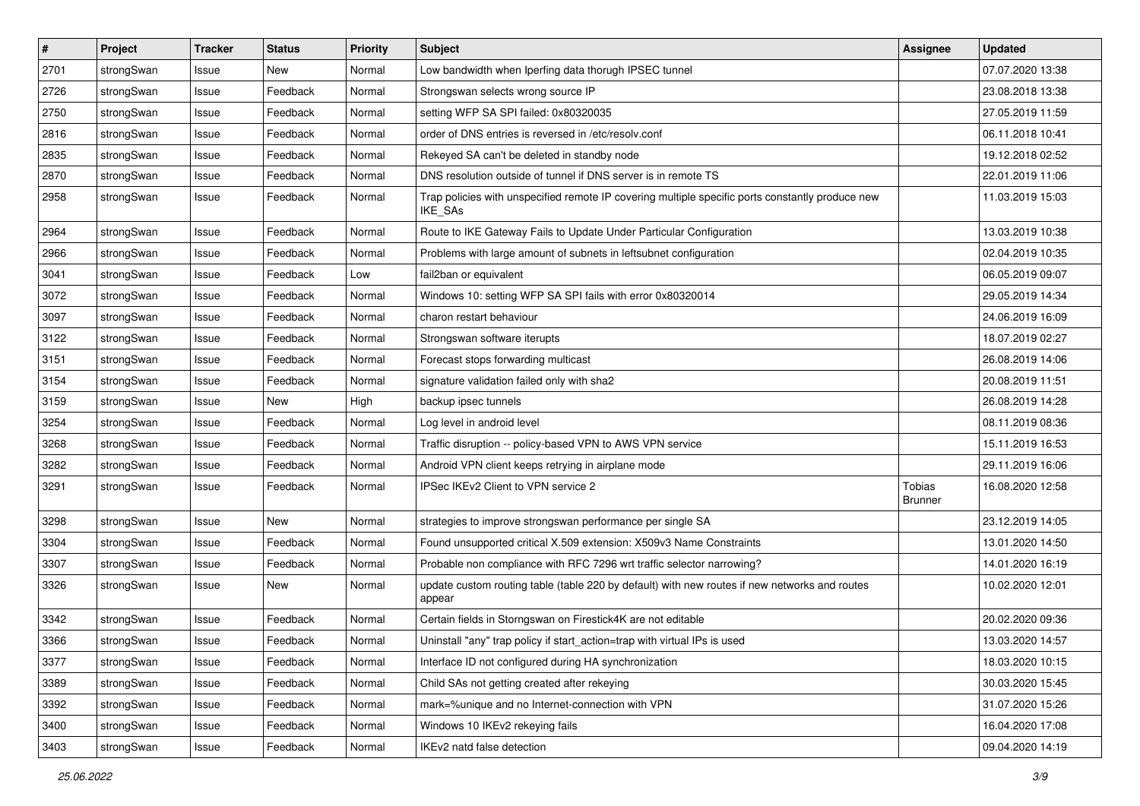| $\sharp$ | Project    | <b>Tracker</b> | <b>Status</b> | <b>Priority</b> | <b>Subject</b>                                                                                                     | <b>Assignee</b>          | <b>Updated</b>   |
|----------|------------|----------------|---------------|-----------------|--------------------------------------------------------------------------------------------------------------------|--------------------------|------------------|
| 2701     | strongSwan | Issue          | New           | Normal          | Low bandwidth when Iperfing data thorugh IPSEC tunnel                                                              |                          | 07.07.2020 13:38 |
| 2726     | strongSwan | Issue          | Feedback      | Normal          | Strongswan selects wrong source IP                                                                                 |                          | 23.08.2018 13:38 |
| 2750     | strongSwan | Issue          | Feedback      | Normal          | setting WFP SA SPI failed: 0x80320035                                                                              |                          | 27.05.2019 11:59 |
| 2816     | strongSwan | Issue          | Feedback      | Normal          | order of DNS entries is reversed in /etc/resolv.conf                                                               |                          | 06.11.2018 10:41 |
| 2835     | strongSwan | Issue          | Feedback      | Normal          | Rekeyed SA can't be deleted in standby node                                                                        |                          | 19.12.2018 02:52 |
| 2870     | strongSwan | Issue          | Feedback      | Normal          | DNS resolution outside of tunnel if DNS server is in remote TS                                                     |                          | 22.01.2019 11:06 |
| 2958     | strongSwan | Issue          | Feedback      | Normal          | Trap policies with unspecified remote IP covering multiple specific ports constantly produce new<br><b>IKE SAs</b> |                          | 11.03.2019 15:03 |
| 2964     | strongSwan | Issue          | Feedback      | Normal          | Route to IKE Gateway Fails to Update Under Particular Configuration                                                |                          | 13.03.2019 10:38 |
| 2966     | strongSwan | Issue          | Feedback      | Normal          | Problems with large amount of subnets in leftsubnet configuration                                                  |                          | 02.04.2019 10:35 |
| 3041     | strongSwan | Issue          | Feedback      | Low             | fail2ban or equivalent                                                                                             |                          | 06.05.2019 09:07 |
| 3072     | strongSwan | Issue          | Feedback      | Normal          | Windows 10: setting WFP SA SPI fails with error 0x80320014                                                         |                          | 29.05.2019 14:34 |
| 3097     | strongSwan | Issue          | Feedback      | Normal          | charon restart behaviour                                                                                           |                          | 24.06.2019 16:09 |
| 3122     | strongSwan | Issue          | Feedback      | Normal          | Strongswan software iterupts                                                                                       |                          | 18.07.2019 02:27 |
| 3151     | strongSwan | Issue          | Feedback      | Normal          | Forecast stops forwarding multicast                                                                                |                          | 26.08.2019 14:06 |
| 3154     | strongSwan | Issue          | Feedback      | Normal          | signature validation failed only with sha2                                                                         |                          | 20.08.2019 11:51 |
| 3159     | strongSwan | Issue          | New           | High            | backup ipsec tunnels                                                                                               |                          | 26.08.2019 14:28 |
| 3254     | strongSwan | Issue          | Feedback      | Normal          | Log level in android level                                                                                         |                          | 08.11.2019 08:36 |
| 3268     | strongSwan | Issue          | Feedback      | Normal          | Traffic disruption -- policy-based VPN to AWS VPN service                                                          |                          | 15.11.2019 16:53 |
| 3282     | strongSwan | Issue          | Feedback      | Normal          | Android VPN client keeps retrying in airplane mode                                                                 |                          | 29.11.2019 16:06 |
| 3291     | strongSwan | Issue          | Feedback      | Normal          | IPSec IKEv2 Client to VPN service 2                                                                                | Tobias<br><b>Brunner</b> | 16.08.2020 12:58 |
| 3298     | strongSwan | Issue          | New           | Normal          | strategies to improve strongswan performance per single SA                                                         |                          | 23.12.2019 14:05 |
| 3304     | strongSwan | Issue          | Feedback      | Normal          | Found unsupported critical X.509 extension: X509v3 Name Constraints                                                |                          | 13.01.2020 14:50 |
| 3307     | strongSwan | Issue          | Feedback      | Normal          | Probable non compliance with RFC 7296 wrt traffic selector narrowing?                                              |                          | 14.01.2020 16:19 |
| 3326     | strongSwan | Issue          | <b>New</b>    | Normal          | update custom routing table (table 220 by default) with new routes if new networks and routes<br>appear            |                          | 10.02.2020 12:01 |
| 3342     | strongSwan | Issue          | Feedback      | Normal          | Certain fields in Storngswan on Firestick4K are not editable                                                       |                          | 20.02.2020 09:36 |
| 3366     | strongSwan | Issue          | Feedback      | Normal          | Uninstall "any" trap policy if start_action=trap with virtual IPs is used                                          |                          | 13.03.2020 14:57 |
| 3377     | strongSwan | Issue          | Feedback      | Normal          | Interface ID not configured during HA synchronization                                                              |                          | 18.03.2020 10:15 |
| 3389     | strongSwan | Issue          | Feedback      | Normal          | Child SAs not getting created after rekeying                                                                       |                          | 30.03.2020 15:45 |
| 3392     | strongSwan | Issue          | Feedback      | Normal          | mark=%unique and no Internet-connection with VPN                                                                   |                          | 31.07.2020 15:26 |
| 3400     | strongSwan | Issue          | Feedback      | Normal          | Windows 10 IKEv2 rekeying fails                                                                                    |                          | 16.04.2020 17:08 |
| 3403     | strongSwan | Issue          | Feedback      | Normal          | IKEv2 natd false detection                                                                                         |                          | 09.04.2020 14:19 |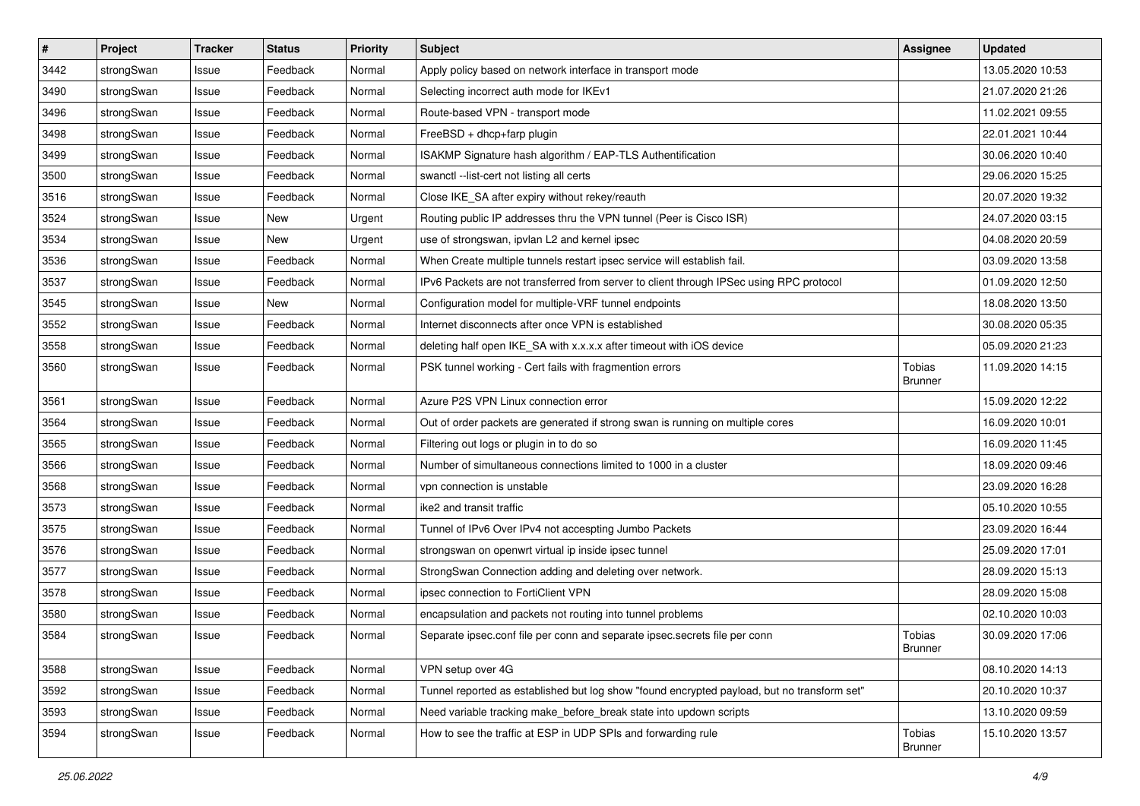| $\sharp$ | Project    | <b>Tracker</b> | <b>Status</b> | <b>Priority</b> | <b>Subject</b>                                                                              | Assignee                 | <b>Updated</b>   |
|----------|------------|----------------|---------------|-----------------|---------------------------------------------------------------------------------------------|--------------------------|------------------|
| 3442     | strongSwan | Issue          | Feedback      | Normal          | Apply policy based on network interface in transport mode                                   |                          | 13.05.2020 10:53 |
| 3490     | strongSwan | Issue          | Feedback      | Normal          | Selecting incorrect auth mode for IKEv1                                                     |                          | 21.07.2020 21:26 |
| 3496     | strongSwan | Issue          | Feedback      | Normal          | Route-based VPN - transport mode                                                            |                          | 11.02.2021 09:55 |
| 3498     | strongSwan | Issue          | Feedback      | Normal          | FreeBSD + dhcp+farp plugin                                                                  |                          | 22.01.2021 10:44 |
| 3499     | strongSwan | Issue          | Feedback      | Normal          | ISAKMP Signature hash algorithm / EAP-TLS Authentification                                  |                          | 30.06.2020 10:40 |
| 3500     | strongSwan | Issue          | Feedback      | Normal          | swanctl --list-cert not listing all certs                                                   |                          | 29.06.2020 15:25 |
| 3516     | strongSwan | Issue          | Feedback      | Normal          | Close IKE_SA after expiry without rekey/reauth                                              |                          | 20.07.2020 19:32 |
| 3524     | strongSwan | Issue          | New           | Urgent          | Routing public IP addresses thru the VPN tunnel (Peer is Cisco ISR)                         |                          | 24.07.2020 03:15 |
| 3534     | strongSwan | Issue          | New           | Urgent          | use of strongswan, ipvlan L2 and kernel ipsec                                               |                          | 04.08.2020 20:59 |
| 3536     | strongSwan | Issue          | Feedback      | Normal          | When Create multiple tunnels restart ipsec service will establish fail.                     |                          | 03.09.2020 13:58 |
| 3537     | strongSwan | Issue          | Feedback      | Normal          | IPv6 Packets are not transferred from server to client through IPSec using RPC protocol     |                          | 01.09.2020 12:50 |
| 3545     | strongSwan | Issue          | New           | Normal          | Configuration model for multiple-VRF tunnel endpoints                                       |                          | 18.08.2020 13:50 |
| 3552     | strongSwan | Issue          | Feedback      | Normal          | Internet disconnects after once VPN is established                                          |                          | 30.08.2020 05:35 |
| 3558     | strongSwan | Issue          | Feedback      | Normal          | deleting half open IKE_SA with x.x.x.x after timeout with iOS device                        |                          | 05.09.2020 21:23 |
| 3560     | strongSwan | Issue          | Feedback      | Normal          | PSK tunnel working - Cert fails with fragmention errors                                     | Tobias<br><b>Brunner</b> | 11.09.2020 14:15 |
| 3561     | strongSwan | Issue          | Feedback      | Normal          | Azure P2S VPN Linux connection error                                                        |                          | 15.09.2020 12:22 |
| 3564     | strongSwan | Issue          | Feedback      | Normal          | Out of order packets are generated if strong swan is running on multiple cores              |                          | 16.09.2020 10:01 |
| 3565     | strongSwan | Issue          | Feedback      | Normal          | Filtering out logs or plugin in to do so                                                    |                          | 16.09.2020 11:45 |
| 3566     | strongSwan | Issue          | Feedback      | Normal          | Number of simultaneous connections limited to 1000 in a cluster                             |                          | 18.09.2020 09:46 |
| 3568     | strongSwan | Issue          | Feedback      | Normal          | vpn connection is unstable                                                                  |                          | 23.09.2020 16:28 |
| 3573     | strongSwan | Issue          | Feedback      | Normal          | ike2 and transit traffic                                                                    |                          | 05.10.2020 10:55 |
| 3575     | strongSwan | Issue          | Feedback      | Normal          | Tunnel of IPv6 Over IPv4 not accespting Jumbo Packets                                       |                          | 23.09.2020 16:44 |
| 3576     | strongSwan | Issue          | Feedback      | Normal          | strongswan on openwrt virtual ip inside ipsec tunnel                                        |                          | 25.09.2020 17:01 |
| 3577     | strongSwan | Issue          | Feedback      | Normal          | StrongSwan Connection adding and deleting over network.                                     |                          | 28.09.2020 15:13 |
| 3578     | strongSwan | Issue          | Feedback      | Normal          | ipsec connection to FortiClient VPN                                                         |                          | 28.09.2020 15:08 |
| 3580     | strongSwan | Issue          | Feedback      | Normal          | encapsulation and packets not routing into tunnel problems                                  |                          | 02.10.2020 10:03 |
| 3584     | strongSwan | Issue          | Feedback      | Normal          | Separate ipsec.conf file per conn and separate ipsec.secrets file per conn                  | Tobias<br>Brunner        | 30.09.2020 17:06 |
| 3588     | strongSwan | Issue          | Feedback      | Normal          | VPN setup over 4G                                                                           |                          | 08.10.2020 14:13 |
| 3592     | strongSwan | Issue          | Feedback      | Normal          | Tunnel reported as established but log show "found encrypted payload, but no transform set" |                          | 20.10.2020 10:37 |
| 3593     | strongSwan | Issue          | Feedback      | Normal          | Need variable tracking make_before_break state into updown scripts                          |                          | 13.10.2020 09:59 |
| 3594     | strongSwan | Issue          | Feedback      | Normal          | How to see the traffic at ESP in UDP SPIs and forwarding rule                               | Tobias<br>Brunner        | 15.10.2020 13:57 |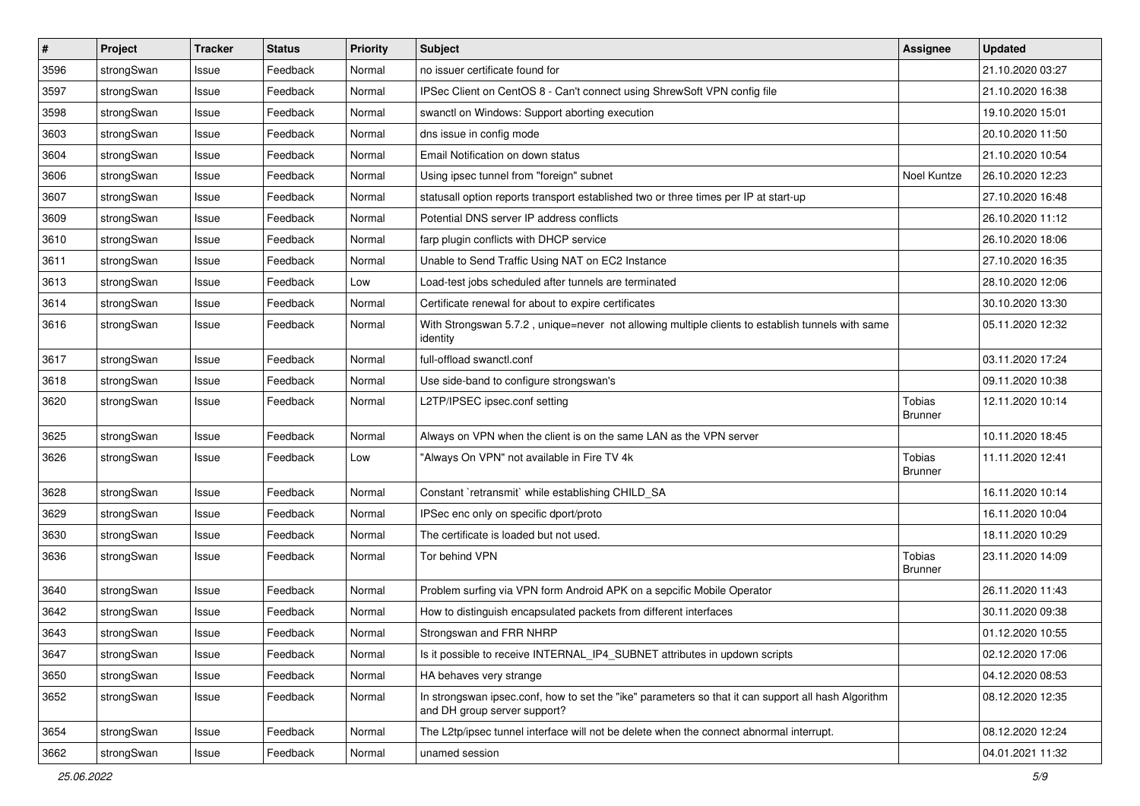| $\sharp$ | Project    | <b>Tracker</b> | <b>Status</b> | <b>Priority</b> | <b>Subject</b>                                                                                                                      | Assignee                 | <b>Updated</b>   |
|----------|------------|----------------|---------------|-----------------|-------------------------------------------------------------------------------------------------------------------------------------|--------------------------|------------------|
| 3596     | strongSwan | Issue          | Feedback      | Normal          | no issuer certificate found for                                                                                                     |                          | 21.10.2020 03:27 |
| 3597     | strongSwan | Issue          | Feedback      | Normal          | IPSec Client on CentOS 8 - Can't connect using ShrewSoft VPN config file                                                            |                          | 21.10.2020 16:38 |
| 3598     | strongSwan | Issue          | Feedback      | Normal          | swanctl on Windows: Support aborting execution                                                                                      |                          | 19.10.2020 15:01 |
| 3603     | strongSwan | Issue          | Feedback      | Normal          | dns issue in config mode                                                                                                            |                          | 20.10.2020 11:50 |
| 3604     | strongSwan | Issue          | Feedback      | Normal          | Email Notification on down status                                                                                                   |                          | 21.10.2020 10:54 |
| 3606     | strongSwan | Issue          | Feedback      | Normal          | Using ipsec tunnel from "foreign" subnet                                                                                            | Noel Kuntze              | 26.10.2020 12:23 |
| 3607     | strongSwan | Issue          | Feedback      | Normal          | statusall option reports transport established two or three times per IP at start-up                                                |                          | 27.10.2020 16:48 |
| 3609     | strongSwan | Issue          | Feedback      | Normal          | Potential DNS server IP address conflicts                                                                                           |                          | 26.10.2020 11:12 |
| 3610     | strongSwan | Issue          | Feedback      | Normal          | farp plugin conflicts with DHCP service                                                                                             |                          | 26.10.2020 18:06 |
| 3611     | strongSwan | Issue          | Feedback      | Normal          | Unable to Send Traffic Using NAT on EC2 Instance                                                                                    |                          | 27.10.2020 16:35 |
| 3613     | strongSwan | Issue          | Feedback      | Low             | Load-test jobs scheduled after tunnels are terminated                                                                               |                          | 28.10.2020 12:06 |
| 3614     | strongSwan | Issue          | Feedback      | Normal          | Certificate renewal for about to expire certificates                                                                                |                          | 30.10.2020 13:30 |
| 3616     | strongSwan | Issue          | Feedback      | Normal          | With Strongswan 5.7.2, unique=never not allowing multiple clients to establish tunnels with same<br>identity                        |                          | 05.11.2020 12:32 |
| 3617     | strongSwan | Issue          | Feedback      | Normal          | full-offload swanctl.conf                                                                                                           |                          | 03.11.2020 17:24 |
| 3618     | strongSwan | Issue          | Feedback      | Normal          | Use side-band to configure strongswan's                                                                                             |                          | 09.11.2020 10:38 |
| 3620     | strongSwan | Issue          | Feedback      | Normal          | L2TP/IPSEC ipsec.conf setting                                                                                                       | Tobias<br>Brunner        | 12.11.2020 10:14 |
| 3625     | strongSwan | Issue          | Feedback      | Normal          | Always on VPN when the client is on the same LAN as the VPN server                                                                  |                          | 10.11.2020 18:45 |
| 3626     | strongSwan | Issue          | Feedback      | Low             | "Always On VPN" not available in Fire TV 4k                                                                                         | Tobias<br><b>Brunner</b> | 11.11.2020 12:41 |
| 3628     | strongSwan | Issue          | Feedback      | Normal          | Constant `retransmit` while establishing CHILD_SA                                                                                   |                          | 16.11.2020 10:14 |
| 3629     | strongSwan | Issue          | Feedback      | Normal          | IPSec enc only on specific dport/proto                                                                                              |                          | 16.11.2020 10:04 |
| 3630     | strongSwan | Issue          | Feedback      | Normal          | The certificate is loaded but not used.                                                                                             |                          | 18.11.2020 10:29 |
| 3636     | strongSwan | Issue          | Feedback      | Normal          | Tor behind VPN                                                                                                                      | Tobias<br><b>Brunner</b> | 23.11.2020 14:09 |
| 3640     | strongSwan | Issue          | Feedback      | Normal          | Problem surfing via VPN form Android APK on a sepcific Mobile Operator                                                              |                          | 26.11.2020 11:43 |
| 3642     | strongSwan | Issue          | Feedback      | Normal          | How to distinguish encapsulated packets from different interfaces                                                                   |                          | 30.11.2020 09:38 |
| 3643     | strongSwan | Issue          | Feedback      | Normal          | Strongswan and FRR NHRP                                                                                                             |                          | 01.12.2020 10:55 |
| 3647     | strongSwan | Issue          | Feedback      | Normal          | Is it possible to receive INTERNAL IP4 SUBNET attributes in updown scripts                                                          |                          | 02.12.2020 17:06 |
| 3650     | strongSwan | Issue          | Feedback      | Normal          | HA behaves very strange                                                                                                             |                          | 04.12.2020 08:53 |
| 3652     | strongSwan | Issue          | Feedback      | Normal          | In strongswan ipsec.conf, how to set the "ike" parameters so that it can support all hash Algorithm<br>and DH group server support? |                          | 08.12.2020 12:35 |
| 3654     | strongSwan | Issue          | Feedback      | Normal          | The L2tp/ipsec tunnel interface will not be delete when the connect abnormal interrupt.                                             |                          | 08.12.2020 12:24 |
| 3662     | strongSwan | Issue          | Feedback      | Normal          | unamed session                                                                                                                      |                          | 04.01.2021 11:32 |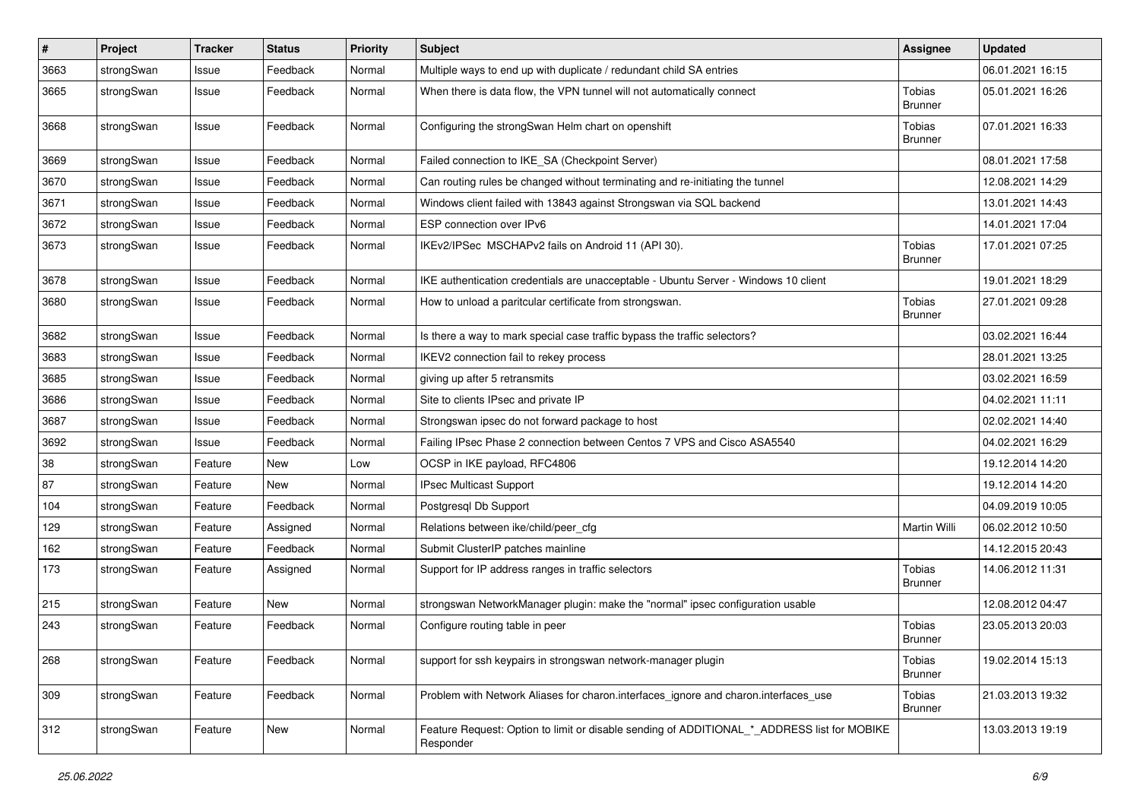| $\vert$ # | Project    | <b>Tracker</b> | <b>Status</b> | <b>Priority</b> | <b>Subject</b>                                                                                           | <b>Assignee</b>                 | <b>Updated</b>   |
|-----------|------------|----------------|---------------|-----------------|----------------------------------------------------------------------------------------------------------|---------------------------------|------------------|
| 3663      | strongSwan | Issue          | Feedback      | Normal          | Multiple ways to end up with duplicate / redundant child SA entries                                      |                                 | 06.01.2021 16:15 |
| 3665      | strongSwan | Issue          | Feedback      | Normal          | When there is data flow, the VPN tunnel will not automatically connect                                   | Tobias<br><b>Brunner</b>        | 05.01.2021 16:26 |
| 3668      | strongSwan | Issue          | Feedback      | Normal          | Configuring the strongSwan Helm chart on openshift                                                       | Tobias<br><b>Brunner</b>        | 07.01.2021 16:33 |
| 3669      | strongSwan | Issue          | Feedback      | Normal          | Failed connection to IKE_SA (Checkpoint Server)                                                          |                                 | 08.01.2021 17:58 |
| 3670      | strongSwan | Issue          | Feedback      | Normal          | Can routing rules be changed without terminating and re-initiating the tunnel                            |                                 | 12.08.2021 14:29 |
| 3671      | strongSwan | Issue          | Feedback      | Normal          | Windows client failed with 13843 against Strongswan via SQL backend                                      |                                 | 13.01.2021 14:43 |
| 3672      | strongSwan | Issue          | Feedback      | Normal          | ESP connection over IPv6                                                                                 |                                 | 14.01.2021 17:04 |
| 3673      | strongSwan | Issue          | Feedback      | Normal          | IKEv2/IPSec MSCHAPv2 fails on Android 11 (API 30).                                                       | Tobias<br><b>Brunner</b>        | 17.01.2021 07:25 |
| 3678      | strongSwan | Issue          | Feedback      | Normal          | IKE authentication credentials are unacceptable - Ubuntu Server - Windows 10 client                      |                                 | 19.01.2021 18:29 |
| 3680      | strongSwan | Issue          | Feedback      | Normal          | How to unload a paritcular certificate from strongswan.                                                  | Tobias<br><b>Brunner</b>        | 27.01.2021 09:28 |
| 3682      | strongSwan | Issue          | Feedback      | Normal          | Is there a way to mark special case traffic bypass the traffic selectors?                                |                                 | 03.02.2021 16:44 |
| 3683      | strongSwan | Issue          | Feedback      | Normal          | IKEV2 connection fail to rekey process                                                                   |                                 | 28.01.2021 13:25 |
| 3685      | strongSwan | Issue          | Feedback      | Normal          | giving up after 5 retransmits                                                                            |                                 | 03.02.2021 16:59 |
| 3686      | strongSwan | Issue          | Feedback      | Normal          | Site to clients IPsec and private IP                                                                     |                                 | 04.02.2021 11:11 |
| 3687      | strongSwan | Issue          | Feedback      | Normal          | Strongswan ipsec do not forward package to host                                                          |                                 | 02.02.2021 14:40 |
| 3692      | strongSwan | Issue          | Feedback      | Normal          | Failing IPsec Phase 2 connection between Centos 7 VPS and Cisco ASA5540                                  |                                 | 04.02.2021 16:29 |
| 38        | strongSwan | Feature        | New           | Low             | OCSP in IKE payload, RFC4806                                                                             |                                 | 19.12.2014 14:20 |
| 87        | strongSwan | Feature        | New           | Normal          | IPsec Multicast Support                                                                                  |                                 | 19.12.2014 14:20 |
| 104       | strongSwan | Feature        | Feedback      | Normal          | Postgresql Db Support                                                                                    |                                 | 04.09.2019 10:05 |
| 129       | strongSwan | Feature        | Assigned      | Normal          | Relations between ike/child/peer_cfg                                                                     | <b>Martin Willi</b>             | 06.02.2012 10:50 |
| 162       | strongSwan | Feature        | Feedback      | Normal          | Submit ClusterIP patches mainline                                                                        |                                 | 14.12.2015 20:43 |
| 173       | strongSwan | Feature        | Assigned      | Normal          | Support for IP address ranges in traffic selectors                                                       | Tobias<br><b>Brunner</b>        | 14.06.2012 11:31 |
| 215       | strongSwan | Feature        | New           | Normal          | strongswan NetworkManager plugin: make the "normal" ipsec configuration usable                           |                                 | 12.08.2012 04:47 |
| 243       | strongSwan | Feature        | Feedback      | Normal          | Configure routing table in peer                                                                          | Tobias<br><b>Brunner</b>        | 23.05.2013 20:03 |
| 268       | strongSwan | Feature        | Feedback      | Normal          | support for ssh keypairs in strongswan network-manager plugin                                            | Tobias<br><b>Brunner</b>        | 19.02.2014 15:13 |
| 309       | strongSwan | Feature        | Feedback      | Normal          | Problem with Network Aliases for charon.interfaces_ignore and charon.interfaces_use                      | <b>Tobias</b><br><b>Brunner</b> | 21.03.2013 19:32 |
| 312       | strongSwan | Feature        | New           | Normal          | Feature Request: Option to limit or disable sending of ADDITIONAL * ADDRESS list for MOBIKE<br>Responder |                                 | 13.03.2013 19:19 |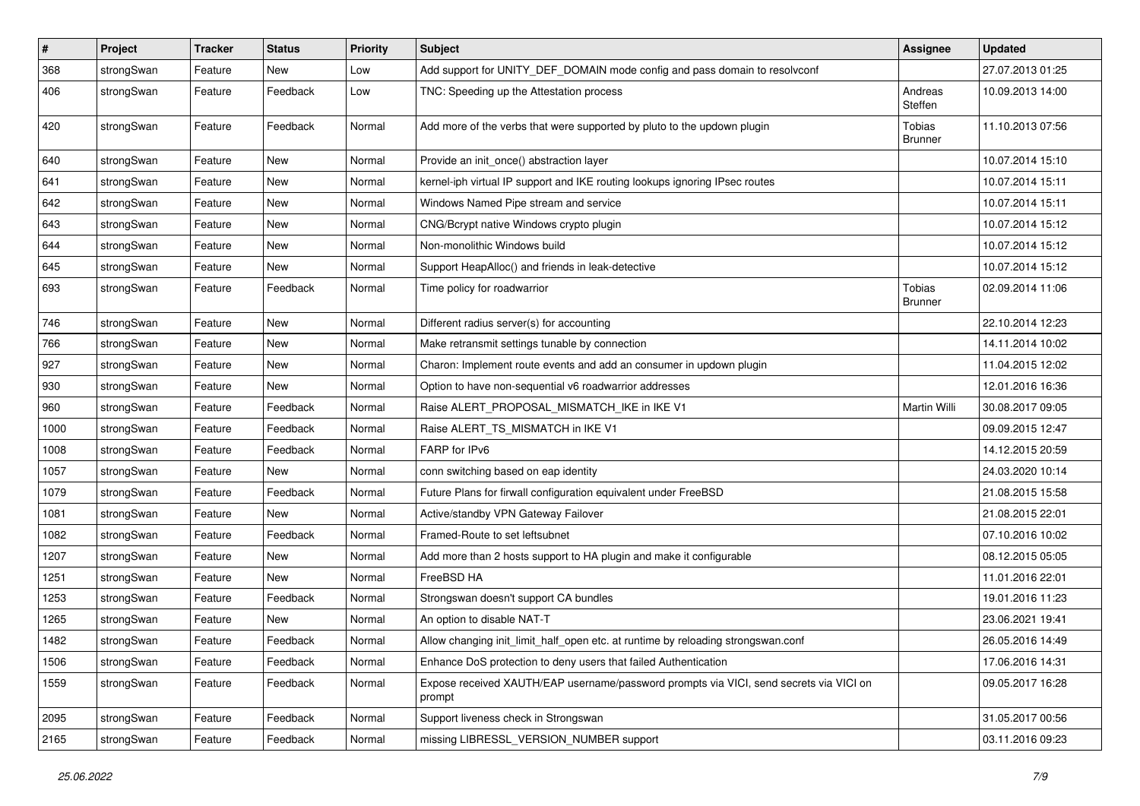| $\sharp$ | Project    | <b>Tracker</b> | <b>Status</b> | <b>Priority</b> | <b>Subject</b>                                                                                   | <b>Assignee</b>          | <b>Updated</b>   |
|----------|------------|----------------|---------------|-----------------|--------------------------------------------------------------------------------------------------|--------------------------|------------------|
| 368      | strongSwan | Feature        | New           | Low             | Add support for UNITY_DEF_DOMAIN mode config and pass domain to resolvconf                       |                          | 27.07.2013 01:25 |
| 406      | strongSwan | Feature        | Feedback      | Low             | TNC: Speeding up the Attestation process                                                         | Andreas<br>Steffen       | 10.09.2013 14:00 |
| 420      | strongSwan | Feature        | Feedback      | Normal          | Add more of the verbs that were supported by pluto to the updown plugin                          | Tobias<br><b>Brunner</b> | 11.10.2013 07:56 |
| 640      | strongSwan | Feature        | <b>New</b>    | Normal          | Provide an init_once() abstraction layer                                                         |                          | 10.07.2014 15:10 |
| 641      | strongSwan | Feature        | <b>New</b>    | Normal          | kernel-iph virtual IP support and IKE routing lookups ignoring IPsec routes                      |                          | 10.07.2014 15:11 |
| 642      | strongSwan | Feature        | <b>New</b>    | Normal          | Windows Named Pipe stream and service                                                            |                          | 10.07.2014 15:11 |
| 643      | strongSwan | Feature        | New           | Normal          | CNG/Bcrypt native Windows crypto plugin                                                          |                          | 10.07.2014 15:12 |
| 644      | strongSwan | Feature        | New           | Normal          | Non-monolithic Windows build                                                                     |                          | 10.07.2014 15:12 |
| 645      | strongSwan | Feature        | New           | Normal          | Support HeapAlloc() and friends in leak-detective                                                |                          | 10.07.2014 15:12 |
| 693      | strongSwan | Feature        | Feedback      | Normal          | Time policy for roadwarrior                                                                      | Tobias<br><b>Brunner</b> | 02.09.2014 11:06 |
| 746      | strongSwan | Feature        | <b>New</b>    | Normal          | Different radius server(s) for accounting                                                        |                          | 22.10.2014 12:23 |
| 766      | strongSwan | Feature        | <b>New</b>    | Normal          | Make retransmit settings tunable by connection                                                   |                          | 14.11.2014 10:02 |
| 927      | strongSwan | Feature        | New           | Normal          | Charon: Implement route events and add an consumer in updown plugin                              |                          | 11.04.2015 12:02 |
| 930      | strongSwan | Feature        | <b>New</b>    | Normal          | Option to have non-sequential v6 roadwarrior addresses                                           |                          | 12.01.2016 16:36 |
| 960      | strongSwan | Feature        | Feedback      | Normal          | Raise ALERT_PROPOSAL_MISMATCH_IKE in IKE V1                                                      | <b>Martin Willi</b>      | 30.08.2017 09:05 |
| 1000     | strongSwan | Feature        | Feedback      | Normal          | Raise ALERT_TS_MISMATCH in IKE V1                                                                |                          | 09.09.2015 12:47 |
| 1008     | strongSwan | Feature        | Feedback      | Normal          | FARP for IPv6                                                                                    |                          | 14.12.2015 20:59 |
| 1057     | strongSwan | Feature        | New           | Normal          | conn switching based on eap identity                                                             |                          | 24.03.2020 10:14 |
| 1079     | strongSwan | Feature        | Feedback      | Normal          | Future Plans for firwall configuration equivalent under FreeBSD                                  |                          | 21.08.2015 15:58 |
| 1081     | strongSwan | Feature        | New           | Normal          | Active/standby VPN Gateway Failover                                                              |                          | 21.08.2015 22:01 |
| 1082     | strongSwan | Feature        | Feedback      | Normal          | Framed-Route to set leftsubnet                                                                   |                          | 07.10.2016 10:02 |
| 1207     | strongSwan | Feature        | New           | Normal          | Add more than 2 hosts support to HA plugin and make it configurable                              |                          | 08.12.2015 05:05 |
| 1251     | strongSwan | Feature        | <b>New</b>    | Normal          | FreeBSD HA                                                                                       |                          | 11.01.2016 22:01 |
| 1253     | strongSwan | Feature        | Feedback      | Normal          | Strongswan doesn't support CA bundles                                                            |                          | 19.01.2016 11:23 |
| 1265     | strongSwan | Feature        | New           | Normal          | An option to disable NAT-T                                                                       |                          | 23.06.2021 19:41 |
| 1482     | strongSwan | Feature        | Feedback      | Normal          | Allow changing init_limit_half_open etc. at runtime by reloading strongswan.conf                 |                          | 26.05.2016 14:49 |
| 1506     | strongSwan | Feature        | Feedback      | Normal          | Enhance DoS protection to deny users that failed Authentication                                  |                          | 17.06.2016 14:31 |
| 1559     | strongSwan | Feature        | Feedback      | Normal          | Expose received XAUTH/EAP username/password prompts via VICI, send secrets via VICI on<br>prompt |                          | 09.05.2017 16:28 |
| 2095     | strongSwan | Feature        | Feedback      | Normal          | Support liveness check in Strongswan                                                             |                          | 31.05.2017 00:56 |
| 2165     | strongSwan | Feature        | Feedback      | Normal          | missing LIBRESSL_VERSION_NUMBER support                                                          |                          | 03.11.2016 09:23 |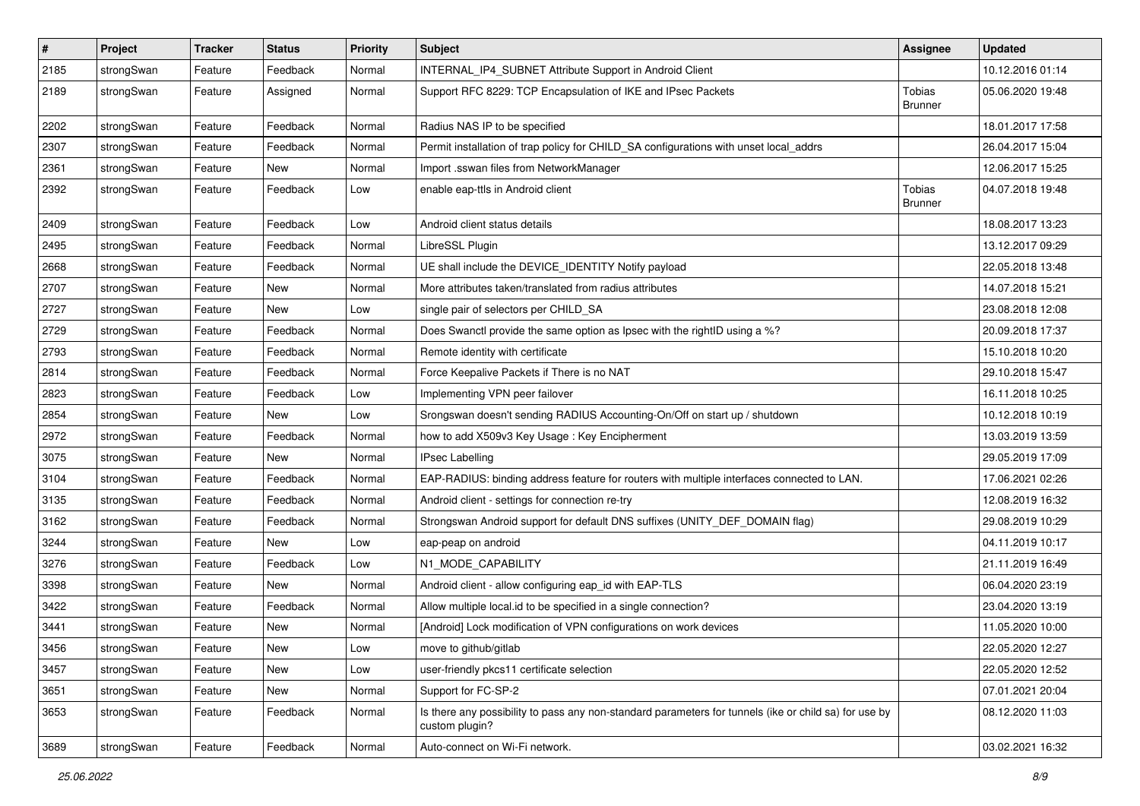| $\pmb{\#}$ | Project    | <b>Tracker</b> | <b>Status</b> | <b>Priority</b> | <b>Subject</b>                                                                                                          | <b>Assignee</b>          | <b>Updated</b>   |
|------------|------------|----------------|---------------|-----------------|-------------------------------------------------------------------------------------------------------------------------|--------------------------|------------------|
| 2185       | strongSwan | Feature        | Feedback      | Normal          | INTERNAL_IP4_SUBNET Attribute Support in Android Client                                                                 |                          | 10.12.2016 01:14 |
| 2189       | strongSwan | Feature        | Assigned      | Normal          | Support RFC 8229: TCP Encapsulation of IKE and IPsec Packets                                                            | Tobias<br><b>Brunner</b> | 05.06.2020 19:48 |
| 2202       | strongSwan | Feature        | Feedback      | Normal          | Radius NAS IP to be specified                                                                                           |                          | 18.01.2017 17:58 |
| 2307       | strongSwan | Feature        | Feedback      | Normal          | Permit installation of trap policy for CHILD_SA configurations with unset local_addrs                                   |                          | 26.04.2017 15:04 |
| 2361       | strongSwan | Feature        | New           | Normal          | Import .sswan files from NetworkManager                                                                                 |                          | 12.06.2017 15:25 |
| 2392       | strongSwan | Feature        | Feedback      | Low             | enable eap-ttls in Android client                                                                                       | Tobias<br><b>Brunner</b> | 04.07.2018 19:48 |
| 2409       | strongSwan | Feature        | Feedback      | Low             | Android client status details                                                                                           |                          | 18.08.2017 13:23 |
| 2495       | strongSwan | Feature        | Feedback      | Normal          | LibreSSL Plugin                                                                                                         |                          | 13.12.2017 09:29 |
| 2668       | strongSwan | Feature        | Feedback      | Normal          | UE shall include the DEVICE_IDENTITY Notify payload                                                                     |                          | 22.05.2018 13:48 |
| 2707       | strongSwan | Feature        | New           | Normal          | More attributes taken/translated from radius attributes                                                                 |                          | 14.07.2018 15:21 |
| 2727       | strongSwan | Feature        | New           | Low             | single pair of selectors per CHILD_SA                                                                                   |                          | 23.08.2018 12:08 |
| 2729       | strongSwan | Feature        | Feedback      | Normal          | Does Swanctl provide the same option as Ipsec with the rightID using a %?                                               |                          | 20.09.2018 17:37 |
| 2793       | strongSwan | Feature        | Feedback      | Normal          | Remote identity with certificate                                                                                        |                          | 15.10.2018 10:20 |
| 2814       | strongSwan | Feature        | Feedback      | Normal          | Force Keepalive Packets if There is no NAT                                                                              |                          | 29.10.2018 15:47 |
| 2823       | strongSwan | Feature        | Feedback      | Low             | Implementing VPN peer failover                                                                                          |                          | 16.11.2018 10:25 |
| 2854       | strongSwan | Feature        | New           | Low             | Srongswan doesn't sending RADIUS Accounting-On/Off on start up / shutdown                                               |                          | 10.12.2018 10:19 |
| 2972       | strongSwan | Feature        | Feedback      | Normal          | how to add X509v3 Key Usage: Key Encipherment                                                                           |                          | 13.03.2019 13:59 |
| 3075       | strongSwan | Feature        | New           | Normal          | IPsec Labelling                                                                                                         |                          | 29.05.2019 17:09 |
| 3104       | strongSwan | Feature        | Feedback      | Normal          | EAP-RADIUS: binding address feature for routers with multiple interfaces connected to LAN.                              |                          | 17.06.2021 02:26 |
| 3135       | strongSwan | Feature        | Feedback      | Normal          | Android client - settings for connection re-try                                                                         |                          | 12.08.2019 16:32 |
| 3162       | strongSwan | Feature        | Feedback      | Normal          | Strongswan Android support for default DNS suffixes (UNITY_DEF_DOMAIN flag)                                             |                          | 29.08.2019 10:29 |
| 3244       | strongSwan | Feature        | New           | Low             | eap-peap on android                                                                                                     |                          | 04.11.2019 10:17 |
| 3276       | strongSwan | Feature        | Feedback      | Low             | N1_MODE_CAPABILITY                                                                                                      |                          | 21.11.2019 16:49 |
| 3398       | strongSwan | Feature        | New           | Normal          | Android client - allow configuring eap_id with EAP-TLS                                                                  |                          | 06.04.2020 23:19 |
| 3422       | strongSwan | Feature        | Feedback      | Normal          | Allow multiple local.id to be specified in a single connection?                                                         |                          | 23.04.2020 13:19 |
| 3441       | strongSwan | Feature        | New           | Normal          | [Android] Lock modification of VPN configurations on work devices                                                       |                          | 11.05.2020 10:00 |
| 3456       | strongSwan | Feature        | New           | Low             | move to github/gitlab                                                                                                   |                          | 22.05.2020 12:27 |
| 3457       | strongSwan | Feature        | New           | Low             | user-friendly pkcs11 certificate selection                                                                              |                          | 22.05.2020 12:52 |
| 3651       | strongSwan | Feature        | New           | Normal          | Support for FC-SP-2                                                                                                     |                          | 07.01.2021 20:04 |
| 3653       | strongSwan | Feature        | Feedback      | Normal          | Is there any possibility to pass any non-standard parameters for tunnels (ike or child sa) for use by<br>custom plugin? |                          | 08.12.2020 11:03 |
| 3689       | strongSwan | Feature        | Feedback      | Normal          | Auto-connect on Wi-Fi network.                                                                                          |                          | 03.02.2021 16:32 |